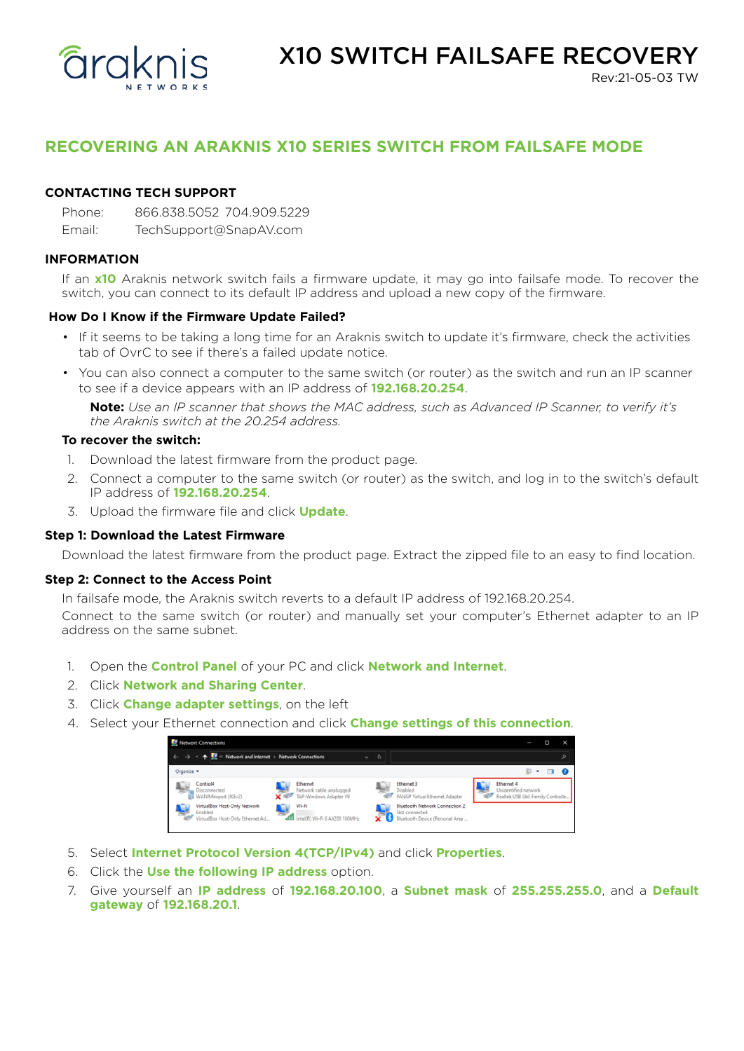

Rev:21-05-03 TW

# **RECOVERING AN ARAKNIS X10 SERIES SWITCH FROM FAILSAFE MODE**

# **CONTACTING TECH SUPPORT**

Phone: 866.838.5052 704.909.5229

Email: TechSupport@SnapAV.com

## **INFORMATION**

If an **x10** Araknis network switch fails a firmware update, it may go into failsafe mode. To recover the switch, you can connect to its default IP address and upload a new copy of the firmware.

## **How Do I Know if the Firmware Update Failed?**

- If it seems to be taking a long time for an Araknis switch to update it's firmware, check the activities tab of OvrC to see if there's a failed update notice.
- You can also connect a computer to the same switch (or router) as the switch and run an IP scanner to see if a device appears with an IP address of **192.168.20.254**.

**Note:** *Use an IP scanner that shows the MAC address, such as Advanced IP Scanner, to verify it's the Araknis switch at the 20.254 address.*

## **To recover the switch:**

- 1. Download the latest firmware from the product page.
- 2. Connect a computer to the same switch (or router) as the switch, and log in to the switch's default IP address of **192.168.20.254**.
- 3. Upload the firmware file and click **Update**.

## **Step 1: Download the Latest Firmware**

Download the latest firmware from the product page. Extract the zipped file to an easy to find location.

#### **Step 2: Connect to the Access Point**

In failsafe mode, the Araknis switch reverts to a default IP address of 192.168.20.254.

Connect to the same switch (or router) and manually set your computer's Ethernet adapter to an IP address on the same subnet.

- 1. Open the **Control Panel** of your PC and click **Network and Internet**.
- 2. Click **Network and Sharing Center**.
- 3. Click **Change adapter settings**, on the left
- 4. Select your Ethernet connection and click **Change settings of this connection**.



- 5. Select **Internet Protocol Version 4(TCP/IPv4)** and click **Properties**.
- 6. Click the **Use the following IP address** option.
- 7. Give yourself an **IP address** of **192.168.20.100**, a **Subnet mask** of **255.255.255.0**, and a **Default gateway** of **192.168.20.1**.